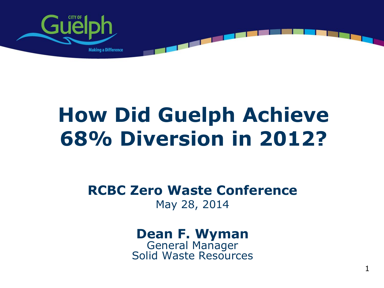

## **How Did Guelph Achieve 68% Diversion in 2012?**

**RCBC Zero Waste Conference** May 28, 2014

#### **Dean F. Wyman** General Manager

Solid Waste Resources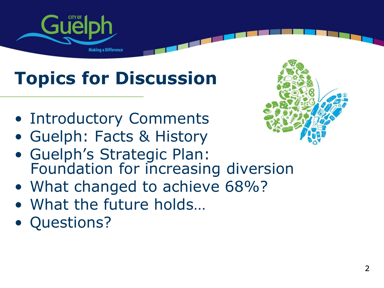

## **Topics for Discussion**

- Introductory Comments
- Guelph: Facts & History
- Guelph's Strategic Plan: Foundation for increasing diversion
- What changed to achieve 68%?
- What the future holds…
- Questions?

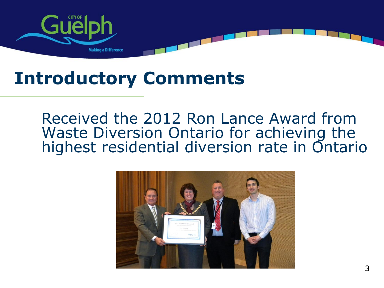

## **Introductory Comments**

Received the 2012 Ron Lance Award from Waste Diversion Ontario for achieving the highest residential diversion rate in Ontario

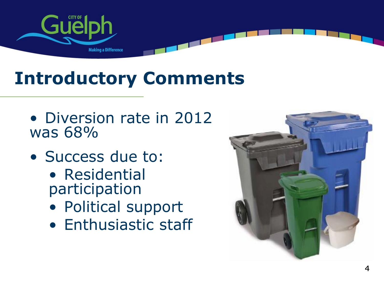

## **Introductory Comments**

- Diversion rate in 2012 was 68%
- Success due to:
	- Residential participation
	- Political support
	- Enthusiastic staff

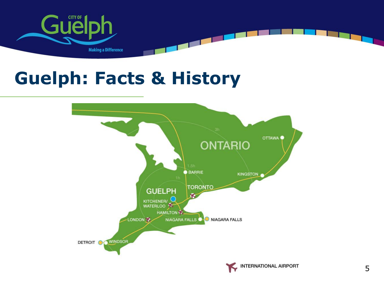

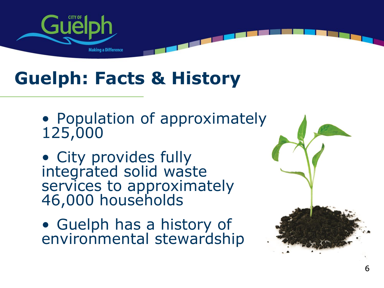

- Population of approximately 125,000
- City provides fully integrated solid waste services to approximately 46,000 households
- Guelph has a history of environmental stewardship

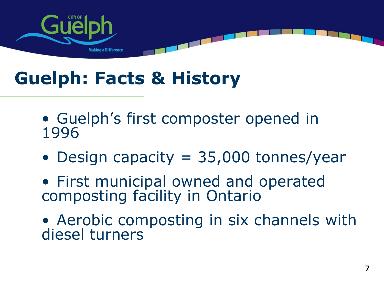

- Guelph's first composter opened in 1996
- Design capacity = 35,000 tonnes/year
- First municipal owned and operated composting facility in Ontario
- Aerobic composting in six channels with diesel turners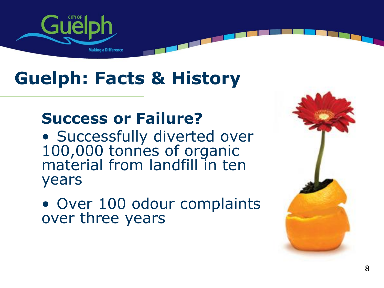

#### **Success or Failure?**

• Successfully diverted over 100,000 tonnes of organic material from landfill in ten years

• Over 100 odour complaints over three years

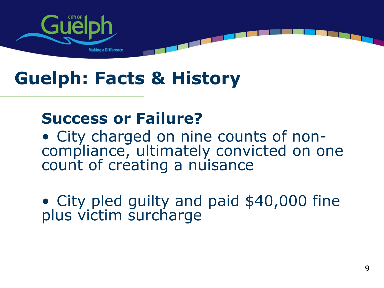

#### **Success or Failure?**

• City charged on nine counts of noncompliance, ultimately convicted on one count of creating a nuisance

• City pled guilty and paid \$40,000 fine plus victim surcharge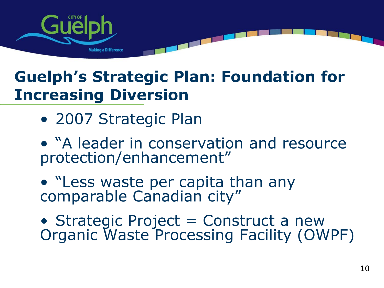

#### **Guelph's Strategic Plan: Foundation for Increasing Diversion**

• 2007 Strategic Plan

• "A leader in conservation and resource protection/enhancement"

• "Less waste per capita than any comparable Canadian city"

• Strategic Project = Construct a new Organic Waste Processing Facility (OWPF)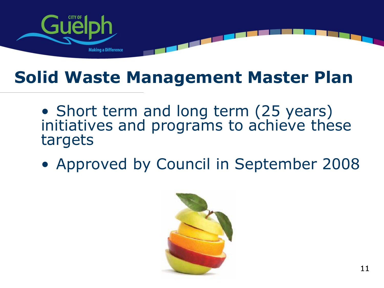

- Short term and long term (25 years) initiatives and programs to achieve these targets
- Approved by Council in September 2008

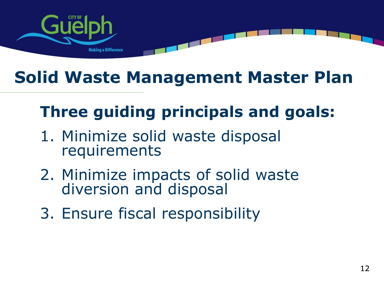

### **Three guiding principals and goals:**

- 1. Minimize solid waste disposal requirements
- 2. Minimize impacts of solid waste diversion and disposal
- 3. Ensure fiscal responsibility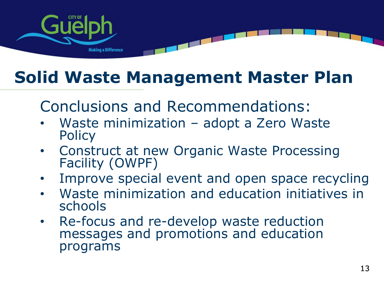

Conclusions and Recommendations:

- Waste minimization adopt a Zero Waste **Policy**
- Construct at new Organic Waste Processing Facility (OWPF)
- Improve special event and open space recycling
- Waste minimization and education initiatives in schools
- Re-focus and re-develop waste reduction messages and promotions and education programs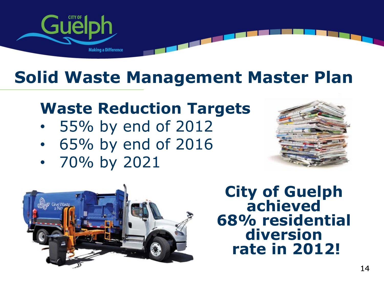

#### **Waste Reduction Targets**

- 55% by end of 2012
- 65% by end of 2016
- 70% by 2021





**City of Guelph achieved 68% residential diversion rate in 2012!**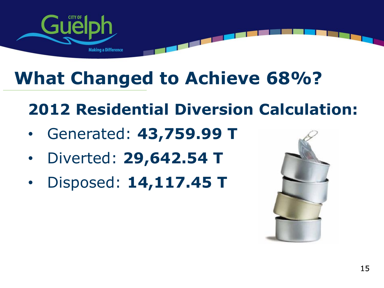

**2012 Residential Diversion Calculation:**

- Generated: **43,759.99 T**
- Diverted: **29,642.54 T**
- Disposed: **14,117.45 T**

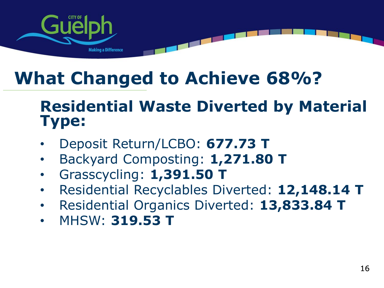

#### **Residential Waste Diverted by Material Type:**

- Deposit Return/LCBO: **677.73 T**
- Backyard Composting: **1,271.80 T**
- Grasscycling: **1,391.50 T**
- Residential Recyclables Diverted: **12,148.14 T**
- Residential Organics Diverted: **13,833.84 T**
- MHSW: **319.53 T**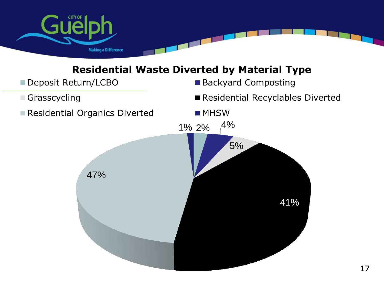

#### **Residential Waste Diverted by Material Type**

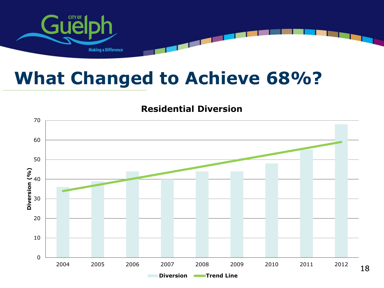

#### **Residential Diversion**

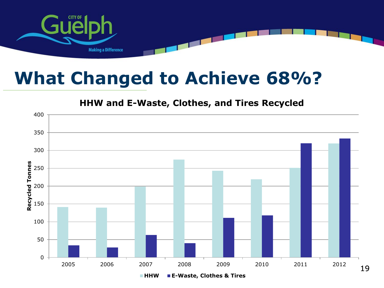

#### **HHW and E-Waste, Clothes, and Tires Recycled**

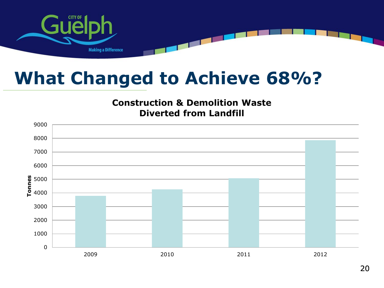

#### **Construction & Demolition Waste Diverted from Landfill**

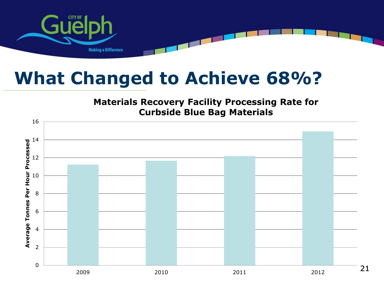

#### **Materials Recovery Facility Processing Rate for Curbside Blue Bag Materials**

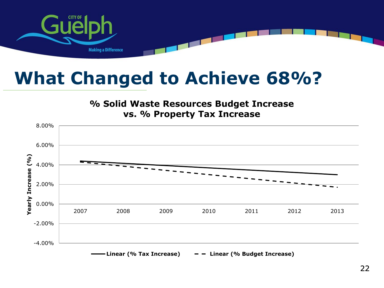

#### **% Solid Waste Resources Budget Increase vs. % Property Tax Increase**

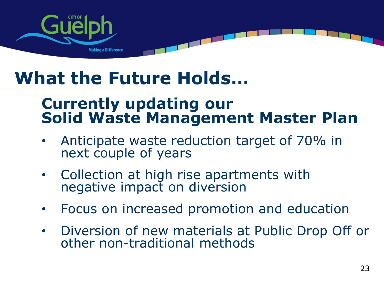

## **What the Future Holds…**

#### **Currently updating our Solid Waste Management Master Plan**

- Anticipate waste reduction target of 70% in next couple of years
- Collection at high rise apartments with negative impact on diversion
- Focus on increased promotion and education
- Diversion of new materials at Public Drop Off or other non-traditional methods